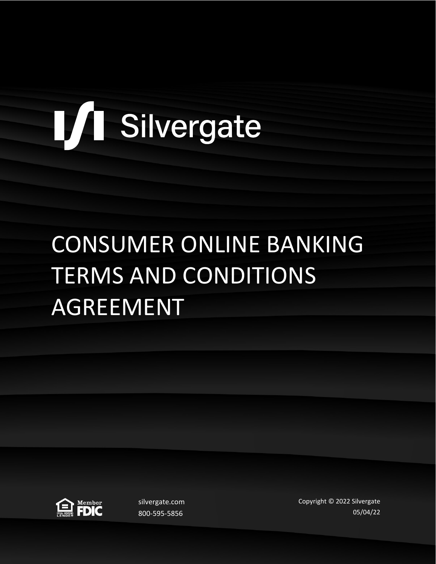# L/I Silvergate

## CONSUMER ONLINE BANKING TERMS AND CONDITIONS AGREEMENT



silvergate.com 800-595-5856

Copyright © 2022 Silvergate 05/04/22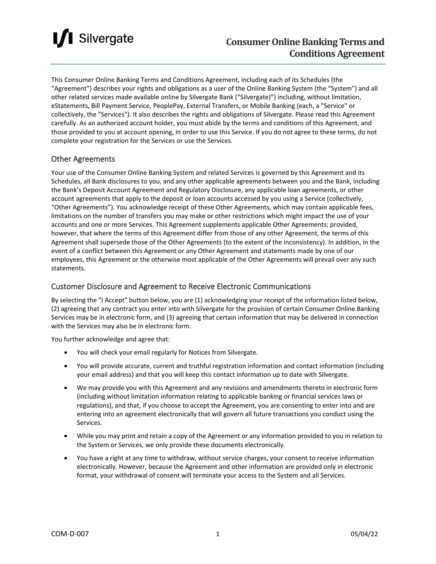

This Consumer Online Banking Terms and Conditions Agreement, including each of its Schedules (the "Agreement") describes your rights and obligations as a user of the Online Banking System (the "System") and all other related services made available online by Silvergate Bank ("Silvergate)") including, without limitation, eStatements, Bill Payment Service, PeoplePay, External Transfers, or Mobile Banking (each, a "Service" or collectively, the "Services"). It also describes the rights and obligations of Silvergate. Please read this Agreement carefully. As an authorized account holder, you must abide by the terms and conditions of this Agreement, and those provided to you at account opening, in order to use this Service. If you do not agree to these terms, do not complete your registration for the Services or use the Services.

#### Other Agreements

Your use of the Consumer Online Banking System and related Services is governed by this Agreement and its Schedules, all Bank disclosures to you, and any other applicable agreements between you and the Bank, including the Bank's Deposit Account Agreement and Regulatory Disclosure, any applicable loan agreements, or other account agreements that apply to the deposit or loan accounts accessed by you using a Service (collectively, "Other Agreements"). You acknowledge receipt of these Other Agreements, which may contain applicable fees, limitations on the number of transfers you may make or other restrictions which might impact the use of your accounts and one or more Services. This Agreement supplements applicable Other Agreements; provided, however, that where the terms of this Agreement differ from those of any other Agreement, the terms of this Agreement shall supersede those of the Other Agreements (to the extent of the inconsistency). In addition, in the event of a conflict between this Agreement or any Other Agreement and statements made by one of our employees, this Agreement or the otherwise most applicable of the Other Agreements will prevail over any such statements.

#### Customer Disclosure and Agreement to Receive Electronic Communications

By selecting the "I Accept" button below, you are (1) acknowledging your receipt of the information listed below, (2) agreeing that any contract you enter into with Silvergate for the provision of certain Consumer Online Banking Services may be in electronic form, and (3) agreeing that certain information that may be delivered in connection with the Services may also be in electronic form.

You further acknowledge and agree that:

- You will check your email regularly for Notices from Silvergate.
- You will provide accurate, current and truthful registration information and contact information (including your email address) and that you will keep this contact information up to date with Silvergate.
- We may provide you with this Agreement and any revisions and amendments thereto in electronic form (including without limitation information relating to applicable banking or financial services laws or regulations), and that, if you choose to accept the Agreement, you are consenting to enter into and are entering into an agreement electronically that will govern all future transactions you conduct using the Services.
- While you may print and retain a copy of the Agreement or any information provided to you in relation to the System or Services, we only provide these documents electronically.
- You have a right at any time to withdraw, without service charges, your consent to receive information electronically. However, because the Agreement and other information are provided only in electronic format, your withdrawal of consent will terminate your access to the System and all Services.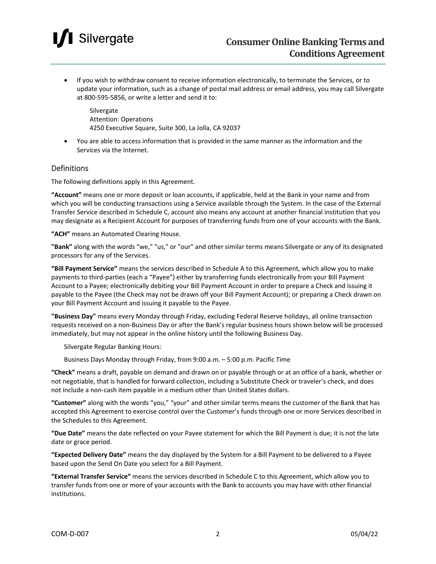### Silvergate

• If you wish to withdraw consent to receive information electronically, to terminate the Services, or to update your information, such as a change of postal mail address or email address, you may call Silvergate at 800-595-5856, or write a letter and send it to:

Silvergate Attention: Operations 4250 Executive Square, Suite 300, La Jolla, CA 92037

• You are able to access information that is provided in the same manner as the information and the Services via the Internet.

#### Definitions

The following definitions apply in this Agreement.

**"Account"** means one or more deposit or loan accounts, if applicable, held at the Bank in your name and from which you will be conducting transactions using a Service available through the System. In the case of the External Transfer Service described in Schedule C, account also means any account at another financial institution that you may designate as a Recipient Account for purposes of transferring funds from one of your accounts with the Bank.

**"ACH"** means an Automated Clearing House.

**"Bank"** along with the words "we," "us," or "our" and other similar terms means Silvergate or any of its designated processors for any of the Services.

**"Bill Payment Service"** means the services described in Schedule A to this Agreement, which allow you to make payments to third-parties (each a "Payee") either by transferring funds electronically from your Bill Payment Account to a Payee; electronically debiting your Bill Payment Account in order to prepare a Check and issuing it payable to the Payee (the Check may not be drawn off your Bill Payment Account); or preparing a Check drawn on your Bill Payment Account and issuing it payable to the Payee.

**"Business Day"** means every Monday through Friday, excluding Federal Reserve holidays, all online transaction requests received on a non-Business Day or after the Bank's regular business hours shown below will be processed immediately, but may not appear in the online history until the following Business Day.

Silvergate Regular Banking Hours:

Business Days Monday through Friday, from 9:00 a.m. – 5:00 p.m. Pacific Time

**"Check"** means a draft, payable on demand and drawn on or payable through or at an office of a bank, whether or not negotiable, that is handled for forward collection, including a Substitute Check or traveler's check, and does not include a non-cash item payable in a medium other than United States dollars.

**"Customer"** along with the words "you," "your" and other similar terms means the customer of the Bank that has accepted this Agreement to exercise control over the Customer's funds through one or more Services described in the Schedules to this Agreement.

**"Due Date"** means the date reflected on your Payee statement for which the Bill Payment is due; it is not the late date or grace period.

**"Expected Delivery Date"** means the day displayed by the System for a Bill Payment to be delivered to a Payee based upon the Send On Date you select for a Bill Payment.

**"External Transfer Service"** means the services described in Schedule C to this Agreement, which allow you to transfer funds from one or more of your accounts with the Bank to accounts you may have with other financial institutions.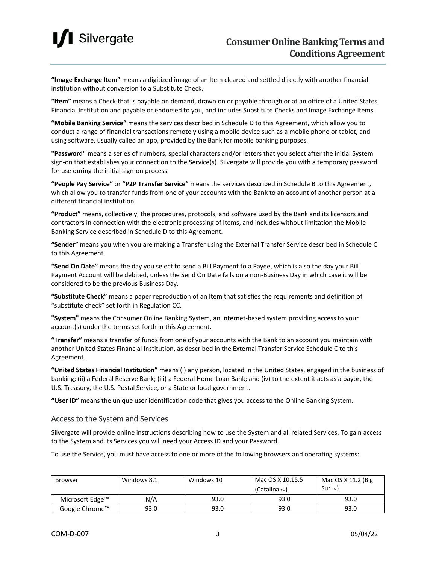

**"Image Exchange Item"** means a digitized image of an Item cleared and settled directly with another financial institution without conversion to a Substitute Check.

**"Item"** means a Check that is payable on demand, drawn on or payable through or at an office of a United States Financial Institution and payable or endorsed to you, and includes Substitute Checks and Image Exchange Items.

**"Mobile Banking Service"** means the services described in Schedule D to this Agreement, which allow you to conduct a range of financial transactions remotely using a mobile device such as a mobile phone or tablet, and using software, usually called an app, provided by the Bank for mobile banking purposes.

**"Password"** means a series of numbers, special characters and/or letters that you select after the initial System sign-on that establishes your connection to the Service(s). Silvergate will provide you with a temporary password for use during the initial sign-on process.

**"People Pay Service"** or **"P2P Transfer Service"** means the services described in Schedule B to this Agreement, which allow you to transfer funds from one of your accounts with the Bank to an account of another person at a different financial institution.

**"Product"** means, collectively, the procedures, protocols, and software used by the Bank and its licensors and contractors in connection with the electronic processing of Items, and includes without limitation the Mobile Banking Service described in Schedule D to this Agreement.

**"Sender"** means you when you are making a Transfer using the External Transfer Service described in Schedule C to this Agreement.

**"Send On Date"** means the day you select to send a Bill Payment to a Payee, which is also the day your Bill Payment Account will be debited, unless the Send On Date falls on a non-Business Day in which case it will be considered to be the previous Business Day.

**"Substitute Check"** means a paper reproduction of an Item that satisfies the requirements and definition of "substitute check" set forth in Regulation CC.

**"System"** means the Consumer Online Banking System, an Internet-based system providing access to your account(s) under the terms set forth in this Agreement.

**"Transfer"** means a transfer of funds from one of your accounts with the Bank to an account you maintain with another United States Financial Institution, as described in the External Transfer Service Schedule C to this Agreement.

**"United States Financial Institution"** means (i) any person, located in the United States, engaged in the business of banking; (ii) a Federal Reserve Bank; (iii) a Federal Home Loan Bank; and (iv) to the extent it acts as a payor, the U.S. Treasury, the U.S. Postal Service, or a State or local government.

**"User ID"** means the unique user identification code that gives you access to the Online Banking System.

#### Access to the System and Services

Silvergate will provide online instructions describing how to use the System and all related Services. To gain access to the System and its Services you will need your Access ID and your Password.

To use the Service, you must have access to one or more of the following browsers and operating systems:

| <b>Browser</b>  | Windows 8.1 | Windows 10 | Mac OS X 10.15.5<br>(Catalina ™) | Mac OS X 11.2 (Big<br>$Sur_{TM}$ |
|-----------------|-------------|------------|----------------------------------|----------------------------------|
| Microsoft Edge™ | N/A         | 93.0       | 93.0                             | 93.0                             |
| Google Chrome™  | 93.0        | 93.0       | 93.0                             | 93.0                             |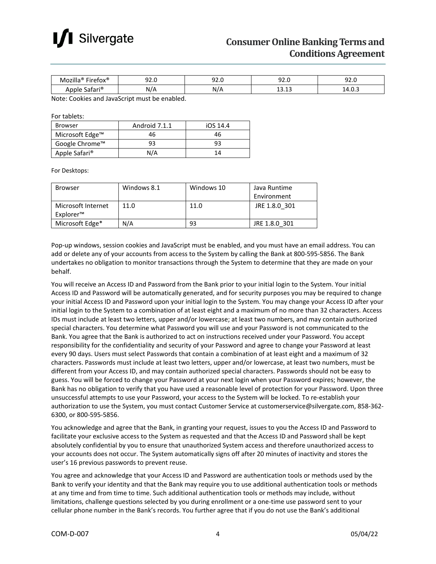

| ക<br><br>. .<br>----                        | ---<br>. . | $\sim$ $\sim$<br>- - | ----<br>$ -$       | $\sim$ $\sim$<br>. .<br>$ -$ |
|---------------------------------------------|------------|----------------------|--------------------|------------------------------|
| $\cdot$ $\approx$<br>.<br>116<br>۰<br>_ _ _ | - -        | .                    | $\sim$<br>∍<br>ن⊥. | –…∪<br><u>. на с</u><br>$-$  |

Note: Cookies and JavaScript must be enabled.

For tablets:

| <b>Browser</b>            | Android 7.1.1 | iOS 14.4 |  |
|---------------------------|---------------|----------|--|
| Microsoft Edge™           | 46            | 46       |  |
| Google Chrome™            | 93            | 93       |  |
| Apple Safari <sup>®</sup> | N/A           |          |  |

For Desktops:

| <b>Browser</b>     | Windows 8.1 | Windows 10 | Java Runtime  |
|--------------------|-------------|------------|---------------|
|                    |             |            | Environment   |
| Microsoft Internet | 11.0        | 11.0       | JRE 1.8.0 301 |
| Explorer™          |             |            |               |
| Microsoft Edge*    | N/A         | 93         | JRE 1.8.0 301 |

Pop-up windows, session cookies and JavaScript must be enabled, and you must have an email address. You can add or delete any of your accounts from access to the System by calling the Bank at 800-595-5856. The Bank undertakes no obligation to monitor transactions through the System to determine that they are made on your behalf.

You will receive an Access ID and Password from the Bank prior to your initial login to the System. Your initial Access ID and Password will be automatically generated, and for security purposes you may be required to change your initial Access ID and Password upon your initial login to the System. You may change your Access ID after your initial login to the System to a combination of at least eight and a maximum of no more than 32 characters. Access IDs must include at least two letters, upper and/or lowercase; at least two numbers, and may contain authorized special characters. You determine what Password you will use and your Password is not communicated to the Bank. You agree that the Bank is authorized to act on instructions received under your Password. You accept responsibility for the confidentiality and security of your Password and agree to change your Password at least every 90 days. Users must select Passwords that contain a combination of at least eight and a maximum of 32 characters. Passwords must include at least two letters, upper and/or lowercase, at least two numbers, must be different from your Access ID, and may contain authorized special characters. Passwords should not be easy to guess. You will be forced to change your Password at your next login when your Password expires; however, the Bank has no obligation to verify that you have used a reasonable level of protection for your Password. Upon three unsuccessful attempts to use your Password, your access to the System will be locked. To re-establish your authorization to use the System, you must contact Customer Service at customerservice@silvergate.com, 858-362- 6300, or 800-595-5856.

You acknowledge and agree that the Bank, in granting your request, issues to you the Access ID and Password to facilitate your exclusive access to the System as requested and that the Access ID and Password shall be kept absolutely confidential by you to ensure that unauthorized System access and therefore unauthorized access to your accounts does not occur. The System automatically signs off after 20 minutes of inactivity and stores the user's 16 previous passwords to prevent reuse.

You agree and acknowledge that your Access ID and Password are authentication tools or methods used by the Bank to verify your identity and that the Bank may require you to use additional authentication tools or methods at any time and from time to time. Such additional authentication tools or methods may include, without limitations, challenge questions selected by you during enrollment or a one-time use password sent to your cellular phone number in the Bank's records. You further agree that if you do not use the Bank's additional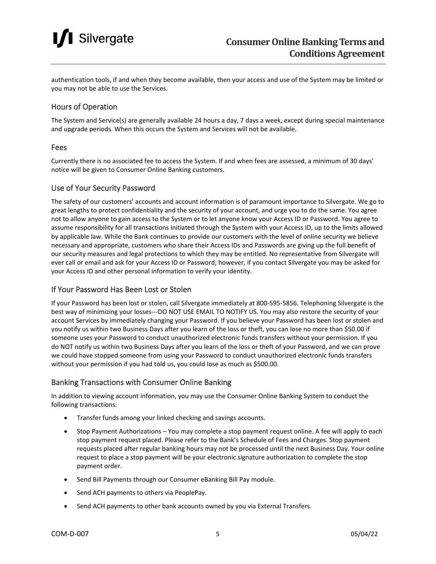### **I** Silvergate

authentication tools, if and when they become available, then your access and use of the System may be limited or you may not be able to use the Services.

#### Hours of Operation

The System and Service(s) are generally available 24 hours a day, 7 days a week, except during special maintenance and upgrade periods. When this occurs the System and Services will not be available.

#### Fees

Currently there is no associated fee to access the System. If and when fees are assessed, a minimum of 30 days' notice will be given to Consumer Online Banking customers.

#### Use of Your Security Password

The safety of our customers' accounts and account information is of paramount importance to Silvergate. We go to great lengths to protect confidentiality and the security of your account, and urge you to do the same. You agree not to allow anyone to gain access to the System or to let anyone know your Access ID or Password. You agree to assume responsibility for all transactions initiated through the System with your Access ID, up to the limits allowed by applicable law. While the Bank continues to provide our customers with the level of online security we believe necessary and appropriate, customers who share their Access IDs and Passwords are giving up the full benefit of our security measures and legal protections to which they may be entitled. No representative from Silvergate will ever call or email and ask for your Access ID or Password; however, if you contact Silvergate you may be asked for your Access ID and other personal information to verify your identity.

#### If Your Password Has Been Lost or Stolen

If your Password has been lost or stolen, call Silvergate immediately at 800-595-5856. Telephoning Silvergate is the best way of minimizing your losses---DO NOT USE EMAIL TO NOTIFY US. You may also restore the security of your account Services by immediately changing your Password. If you believe your Password has been lost or stolen and you notify us within two Business Days after you learn of the loss or theft, you can lose no more than \$50.00 if someone uses your Password to conduct unauthorized electronic funds transfers without your permission. If you do NOT notify us within two Business Days after you learn of the loss or theft of your Password, and we can prove we could have stopped someone from using your Password to conduct unauthorized electronic funds transfers without your permission if you had told us, you could lose as much as \$500.00.

#### Banking Transactions with Consumer Online Banking

In addition to viewing account information, you may use the Consumer Online Banking System to conduct the following transactions:

- Transfer funds among your linked checking and savings accounts.
- Stop Payment Authorizations You may complete a stop payment request online. A fee will apply to each stop payment request placed. Please refer to the Bank's Schedule of Fees and Charges. Stop payment requests placed after regular banking hours may not be processed until the next Business Day. Your online request to place a stop payment will be your electronic signature authorization to complete the stop payment order.
- Send Bill Payments through our Consumer eBanking Bill Pay module.
- Send ACH payments to others via PeoplePay.
- Send ACH payments to other bank accounts owned by you via External Transfers.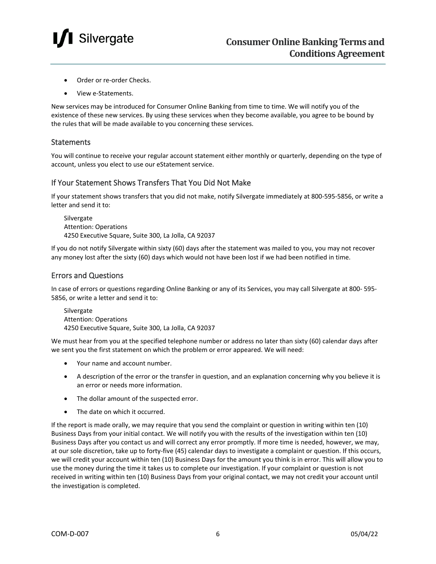

- Order or re-order Checks.
- View e-Statements.

New services may be introduced for Consumer Online Banking from time to time. We will notify you of the existence of these new services. By using these services when they become available, you agree to be bound by the rules that will be made available to you concerning these services.

#### **Statements**

You will continue to receive your regular account statement either monthly or quarterly, depending on the type of account, unless you elect to use our eStatement service.

#### If Your Statement Shows Transfers That You Did Not Make

If your statement shows transfers that you did not make, notify Silvergate immediately at 800-595-5856, or write a letter and send it to:

Silvergate Attention: Operations 4250 Executive Square, Suite 300, La Jolla, CA 92037

If you do not notify Silvergate within sixty (60) days after the statement was mailed to you, you may not recover any money lost after the sixty (60) days which would not have been lost if we had been notified in time.

#### Errors and Questions

In case of errors or questions regarding Online Banking or any of its Services, you may call Silvergate at 800- 595- 5856, or write a letter and send it to:

Silvergate Attention: Operations 4250 Executive Square, Suite 300, La Jolla, CA 92037

We must hear from you at the specified telephone number or address no later than sixty (60) calendar days after we sent you the first statement on which the problem or error appeared. We will need:

- Your name and account number.
- A description of the error or the transfer in question, and an explanation concerning why you believe it is an error or needs more information.
- The dollar amount of the suspected error.
- The date on which it occurred.

If the report is made orally, we may require that you send the complaint or question in writing within ten (10) Business Days from your initial contact. We will notify you with the results of the investigation within ten (10) Business Days after you contact us and will correct any error promptly. If more time is needed, however, we may, at our sole discretion, take up to forty-five (45) calendar days to investigate a complaint or question. If this occurs, we will credit your account within ten (10) Business Days for the amount you think is in error. This will allow you to use the money during the time it takes us to complete our investigation. If your complaint or question is not received in writing within ten (10) Business Days from your original contact, we may not credit your account until the investigation is completed.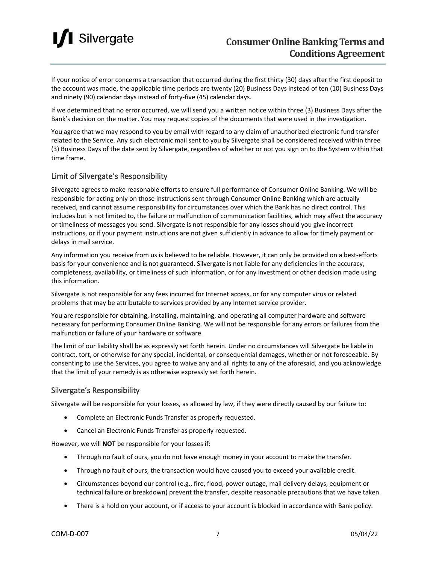

If your notice of error concerns a transaction that occurred during the first thirty (30) days after the first deposit to the account was made, the applicable time periods are twenty (20) Business Days instead of ten (10) Business Days and ninety (90) calendar days instead of forty-five (45) calendar days.

If we determined that no error occurred, we will send you a written notice within three (3) Business Days after the Bank's decision on the matter. You may request copies of the documents that were used in the investigation.

You agree that we may respond to you by email with regard to any claim of unauthorized electronic fund transfer related to the Service. Any such electronic mail sent to you by Silvergate shall be considered received within three (3) Business Days of the date sent by Silvergate, regardless of whether or not you sign on to the System within that time frame.

#### Limit of Silvergate's Responsibility

Silvergate agrees to make reasonable efforts to ensure full performance of Consumer Online Banking. We will be responsible for acting only on those instructions sent through Consumer Online Banking which are actually received, and cannot assume responsibility for circumstances over which the Bank has no direct control. This includes but is not limited to, the failure or malfunction of communication facilities, which may affect the accuracy or timeliness of messages you send. Silvergate is not responsible for any losses should you give incorrect instructions, or if your payment instructions are not given sufficiently in advance to allow for timely payment or delays in mail service.

Any information you receive from us is believed to be reliable. However, it can only be provided on a best-efforts basis for your convenience and is not guaranteed. Silvergate is not liable for any deficiencies in the accuracy, completeness, availability, or timeliness of such information, or for any investment or other decision made using this information.

Silvergate is not responsible for any fees incurred for Internet access, or for any computer virus or related problems that may be attributable to services provided by any Internet service provider.

You are responsible for obtaining, installing, maintaining, and operating all computer hardware and software necessary for performing Consumer Online Banking. We will not be responsible for any errors or failures from the malfunction or failure of your hardware or software.

The limit of our liability shall be as expressly set forth herein. Under no circumstances will Silvergate be liable in contract, tort, or otherwise for any special, incidental, or consequential damages, whether or not foreseeable. By consenting to use the Services, you agree to waive any and all rights to any of the aforesaid, and you acknowledge that the limit of your remedy is as otherwise expressly set forth herein.

#### Silvergate's Responsibility

Silvergate will be responsible for your losses, as allowed by law, if they were directly caused by our failure to:

- Complete an Electronic Funds Transfer as properly requested.
- Cancel an Electronic Funds Transfer as properly requested.

However, we will **NOT** be responsible for your losses if:

- Through no fault of ours, you do not have enough money in your account to make the transfer.
- Through no fault of ours, the transaction would have caused you to exceed your available credit.
- Circumstances beyond our control (e.g., fire, flood, power outage, mail delivery delays, equipment or technical failure or breakdown) prevent the transfer, despite reasonable precautions that we have taken.
- There is a hold on your account, or if access to your account is blocked in accordance with Bank policy.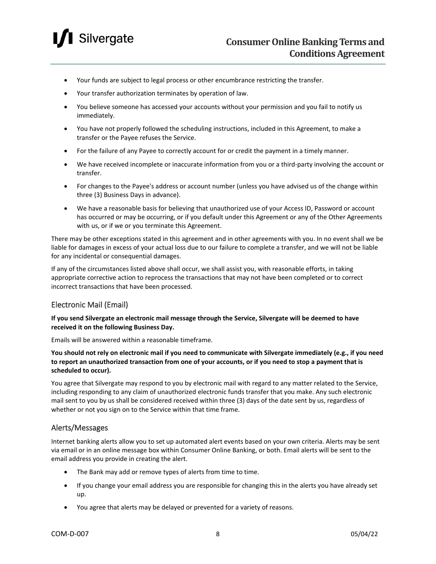

- Your funds are subject to legal process or other encumbrance restricting the transfer.
- Your transfer authorization terminates by operation of law.
- You believe someone has accessed your accounts without your permission and you fail to notify us immediately.
- You have not properly followed the scheduling instructions, included in this Agreement, to make a transfer or the Payee refuses the Service.
- For the failure of any Payee to correctly account for or credit the payment in a timely manner.
- We have received incomplete or inaccurate information from you or a third-party involving the account or transfer.
- For changes to the Payee's address or account number (unless you have advised us of the change within three (3) Business Days in advance).
- We have a reasonable basis for believing that unauthorized use of your Access ID, Password or account has occurred or may be occurring, or if you default under this Agreement or any of the Other Agreements with us, or if we or you terminate this Agreement.

There may be other exceptions stated in this agreement and in other agreements with you. In no event shall we be liable for damages in excess of your actual loss due to our failure to complete a transfer, and we will not be liable for any incidental or consequential damages.

If any of the circumstances listed above shall occur, we shall assist you, with reasonable efforts, in taking appropriate corrective action to reprocess the transactions that may not have been completed or to correct incorrect transactions that have been processed.

#### Electronic Mail (Email)

**If you send Silvergate an electronic mail message through the Service, Silvergate will be deemed to have received it on the following Business Day.**

Emails will be answered within a reasonable timeframe.

**You should not rely on electronic mail if you need to communicate with Silvergate immediately (e.g., if you need to report an unauthorized transaction from one of your accounts, or if you need to stop a payment that is scheduled to occur).**

You agree that Silvergate may respond to you by electronic mail with regard to any matter related to the Service, including responding to any claim of unauthorized electronic funds transfer that you make. Any such electronic mail sent to you by us shall be considered received within three (3) days of the date sent by us, regardless of whether or not you sign on to the Service within that time frame.

#### Alerts/Messages

Internet banking alerts allow you to set up automated alert events based on your own criteria. Alerts may be sent via email or in an online message box within Consumer Online Banking, or both. Email alerts will be sent to the email address you provide in creating the alert.

- The Bank may add or remove types of alerts from time to time.
- If you change your email address you are responsible for changing this in the alerts you have already set up.
- You agree that alerts may be delayed or prevented for a variety of reasons.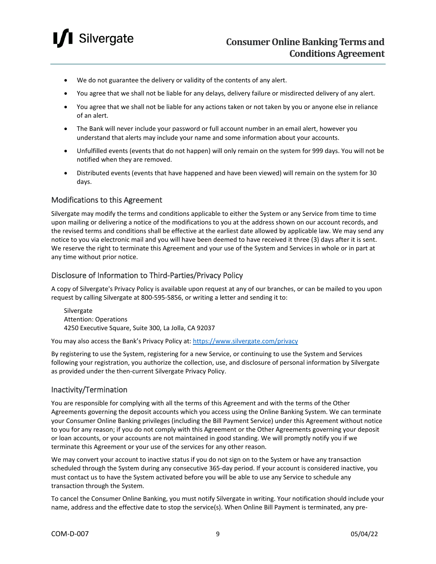

- We do not guarantee the delivery or validity of the contents of any alert.
- You agree that we shall not be liable for any delays, delivery failure or misdirected delivery of any alert.
- You agree that we shall not be liable for any actions taken or not taken by you or anyone else in reliance of an alert.
- The Bank will never include your password or full account number in an email alert, however you understand that alerts may include your name and some information about your accounts.
- Unfulfilled events (events that do not happen) will only remain on the system for 999 days. You will not be notified when they are removed.
- Distributed events (events that have happened and have been viewed) will remain on the system for 30 days.

#### Modifications to this Agreement

Silvergate may modify the terms and conditions applicable to either the System or any Service from time to time upon mailing or delivering a notice of the modifications to you at the address shown on our account records, and the revised terms and conditions shall be effective at the earliest date allowed by applicable law. We may send any notice to you via electronic mail and you will have been deemed to have received it three (3) days after it is sent. We reserve the right to terminate this Agreement and your use of the System and Services in whole or in part at any time without prior notice.

#### Disclosure of Information to Third-Parties/Privacy Policy

A copy of Silvergate's Privacy Policy is available upon request at any of our branches, or can be mailed to you upon request by calling Silvergate at 800-595-5856, or writing a letter and sending it to:

**Silvergate** Attention: Operations 4250 Executive Square, Suite 300, La Jolla, CA 92037

You may also access the Bank's Privacy Policy at:<https://www.silvergate.com/privacy>

By registering to use the System, registering for a new Service, or continuing to use the System and Services following your registration, you authorize the collection, use, and disclosure of personal information by Silvergate as provided under the then-current Silvergate Privacy Policy.

#### Inactivity/Termination

You are responsible for complying with all the terms of this Agreement and with the terms of the Other Agreements governing the deposit accounts which you access using the Online Banking System. We can terminate your Consumer Online Banking privileges (including the Bill Payment Service) under this Agreement without notice to you for any reason; if you do not comply with this Agreement or the Other Agreements governing your deposit or loan accounts, or your accounts are not maintained in good standing. We will promptly notify you if we terminate this Agreement or your use of the services for any other reason.

We may convert your account to inactive status if you do not sign on to the System or have any transaction scheduled through the System during any consecutive 365-day period. If your account is considered inactive, you must contact us to have the System activated before you will be able to use any Service to schedule any transaction through the System.

To cancel the Consumer Online Banking, you must notify Silvergate in writing. Your notification should include your name, address and the effective date to stop the service(s). When Online Bill Payment is terminated, any pre-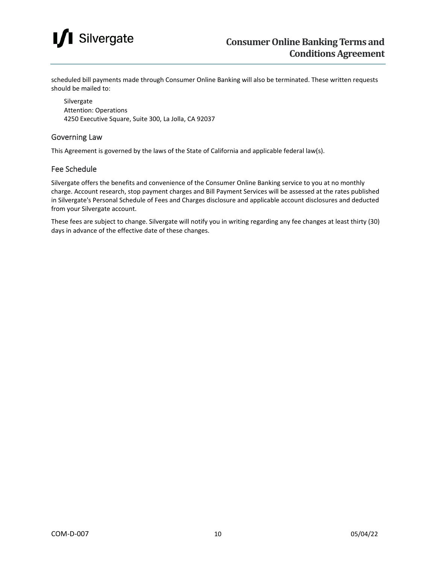### **I** Silvergate

scheduled bill payments made through Consumer Online Banking will also be terminated. These written requests should be mailed to:

Silvergate Attention: Operations 4250 Executive Square, Suite 300, La Jolla, CA 92037

#### Governing Law

This Agreement is governed by the laws of the State of California and applicable federal law(s).

#### Fee Schedule

Silvergate offers the benefits and convenience of the Consumer Online Banking service to you at no monthly charge. Account research, stop payment charges and Bill Payment Services will be assessed at the rates published in Silvergate's Personal Schedule of Fees and Charges disclosure and applicable account disclosures and deducted from your Silvergate account.

These fees are subject to change. Silvergate will notify you in writing regarding any fee changes at least thirty (30) days in advance of the effective date of these changes.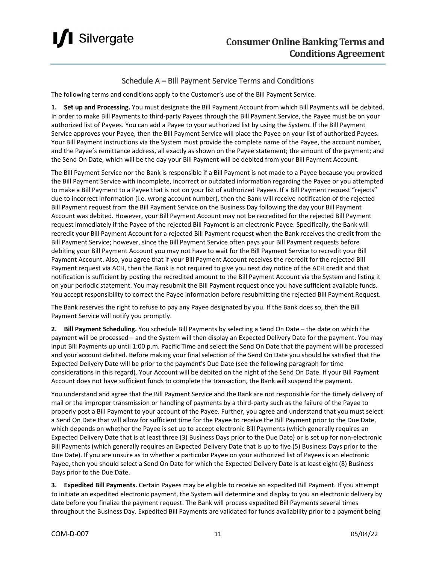

#### Schedule A – Bill Payment Service Terms and Conditions

The following terms and conditions apply to the Customer's use of the Bill Payment Service.

**1. Set up and Processing.** You must designate the Bill Payment Account from which Bill Payments will be debited. In order to make Bill Payments to third-party Payees through the Bill Payment Service, the Payee must be on your authorized list of Payees. You can add a Payee to your authorized list by using the System. If the Bill Payment Service approves your Payee, then the Bill Payment Service will place the Payee on your list of authorized Payees. Your Bill Payment instructions via the System must provide the complete name of the Payee, the account number, and the Payee's remittance address, all exactly as shown on the Payee statement; the amount of the payment; and the Send On Date, which will be the day your Bill Payment will be debited from your Bill Payment Account.

The Bill Payment Service nor the Bank is responsible if a Bill Payment is not made to a Payee because you provided the Bill Payment Service with incomplete, incorrect or outdated information regarding the Payee or you attempted to make a Bill Payment to a Payee that is not on your list of authorized Payees. If a Bill Payment request "rejects" due to incorrect information (i.e. wrong account number), then the Bank will receive notification of the rejected Bill Payment request from the Bill Payment Service on the Business Day following the day your Bill Payment Account was debited. However, your Bill Payment Account may not be recredited for the rejected Bill Payment request immediately if the Payee of the rejected Bill Payment is an electronic Payee. Specifically, the Bank will recredit your Bill Payment Account for a rejected Bill Payment request when the Bank receives the credit from the Bill Payment Service; however, since the Bill Payment Service often pays your Bill Payment requests before debiting your Bill Payment Account you may not have to wait for the Bill Payment Service to recredit your Bill Payment Account. Also, you agree that if your Bill Payment Account receives the recredit for the rejected Bill Payment request via ACH, then the Bank is not required to give you next day notice of the ACH credit and that notification is sufficient by posting the recredited amount to the Bill Payment Account via the System and listing it on your periodic statement. You may resubmit the Bill Payment request once you have sufficient available funds. You accept responsibility to correct the Payee information before resubmitting the rejected Bill Payment Request.

The Bank reserves the right to refuse to pay any Payee designated by you. If the Bank does so, then the Bill Payment Service will notify you promptly.

**2. Bill Payment Scheduling.** You schedule Bill Payments by selecting a Send On Date – the date on which the payment will be processed – and the System will then display an Expected Delivery Date for the payment. You may input Bill Payments up until 1:00 p.m. Pacific Time and select the Send On Date that the payment will be processed and your account debited. Before making your final selection of the Send On Date you should be satisfied that the Expected Delivery Date will be prior to the payment's Due Date (see the following paragraph for time considerations in this regard). Your Account will be debited on the night of the Send On Date. If your Bill Payment Account does not have sufficient funds to complete the transaction, the Bank will suspend the payment.

You understand and agree that the Bill Payment Service and the Bank are not responsible for the timely delivery of mail or the improper transmission or handling of payments by a third-party such as the failure of the Payee to properly post a Bill Payment to your account of the Payee. Further, you agree and understand that you must select a Send On Date that will allow for sufficient time for the Payee to receive the Bill Payment prior to the Due Date, which depends on whether the Payee is set up to accept electronic Bill Payments (which generally requires an Expected Delivery Date that is at least three (3) Business Days prior to the Due Date) or is set up for non-electronic Bill Payments (which generally requires an Expected Delivery Date that is up to five (5) Business Days prior to the Due Date). If you are unsure as to whether a particular Payee on your authorized list of Payees is an electronic Payee, then you should select a Send On Date for which the Expected Delivery Date is at least eight (8) Business Days prior to the Due Date.

**3. Expedited Bill Payments.** Certain Payees may be eligible to receive an expedited Bill Payment. If you attempt to initiate an expedited electronic payment, the System will determine and display to you an electronic delivery by date before you finalize the payment request. The Bank will process expedited Bill Payments several times throughout the Business Day. Expedited Bill Payments are validated for funds availability prior to a payment being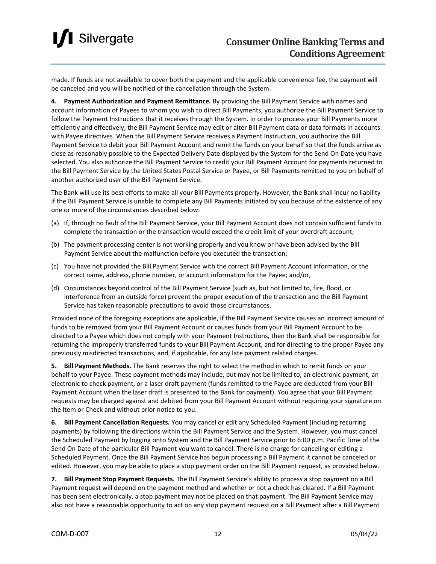### **I** Silvergate

made. If funds are not available to cover both the payment and the applicable convenience fee, the payment will be canceled and you will be notified of the cancellation through the System.

**4. Payment Authorization and Payment Remittance.** By providing the Bill Payment Service with names and account information of Payees to whom you wish to direct Bill Payments, you authorize the Bill Payment Service to follow the Payment Instructions that it receives through the System. In order to process your Bill Payments more efficiently and effectively, the Bill Payment Service may edit or alter Bill Payment data or data formats in accounts with Payee directives. When the Bill Payment Service receives a Payment Instruction, you authorize the Bill Payment Service to debit your Bill Payment Account and remit the funds on your behalf so that the funds arrive as close as reasonably possible to the Expected Delivery Date displayed by the System for the Send On Date you have selected. You also authorize the Bill Payment Service to credit your Bill Payment Account for payments returned to the Bill Payment Service by the United States Postal Service or Payee, or Bill Payments remitted to you on behalf of another authorized user of the Bill Payment Service.

The Bank will use its best efforts to make all your Bill Payments properly. However, the Bank shall incur no liability if the Bill Payment Service is unable to complete any Bill Payments initiated by you because of the existence of any one or more of the circumstances described below:

- (a) If, through no fault of the Bill Payment Service, your Bill Payment Account does not contain sufficient funds to complete the transaction or the transaction would exceed the credit limit of your overdraft account;
- (b) The payment processing center is not working properly and you know or have been advised by the Bill Payment Service about the malfunction before you executed the transaction;
- (c) You have not provided the Bill Payment Service with the correct Bill Payment Account information, or the correct name, address, phone number, or account information for the Payee; and/or,
- (d) Circumstances beyond control of the Bill Payment Service (such as, but not limited to, fire, flood, or interference from an outside force) prevent the proper execution of the transaction and the Bill Payment Service has taken reasonable precautions to avoid those circumstances.

Provided none of the foregoing exceptions are applicable, if the Bill Payment Service causes an incorrect amount of funds to be removed from your Bill Payment Account or causes funds from your Bill Payment Account to be directed to a Payee which does not comply with your Payment Instructions, then the Bank shall be responsible for returning the improperly transferred funds to your Bill Payment Account, and for directing to the proper Payee any previously misdirected transactions, and, if applicable, for any late payment related charges.

**5. Bill Payment Methods.** The Bank reserves the right to select the method in which to remit funds on your behalf to your Payee. These payment methods may include, but may not be limited to, an electronic payment, an electronic to check payment, or a laser draft payment (funds remitted to the Payee are deducted from your Bill Payment Account when the laser draft is presented to the Bank for payment). You agree that your Bill Payment requests may be charged against and debited from your Bill Payment Account without requiring your signature on the Item or Check and without prior notice to you.

**6. Bill Payment Cancellation Requests.** You may cancel or edit any Scheduled Payment (including recurring payments) by following the directions within the Bill Payment Service and the System. However, you must cancel the Scheduled Payment by logging onto System and the Bill Payment Service prior to 6:00 p.m. Pacific Time of the Send On Date of the particular Bill Payment you want to cancel. There is no charge for canceling or editing a Scheduled Payment. Once the Bill Payment Service has begun processing a Bill Payment it cannot be canceled or edited. However, you may be able to place a stop payment order on the Bill Payment request, as provided below.

**7. Bill Payment Stop Payment Requests.** The Bill Payment Service's ability to process a stop payment on a Bill Payment request will depend on the payment method and whether or not a check has cleared. If a Bill Payment has been sent electronically, a stop payment may not be placed on that payment. The Bill Payment Service may also not have a reasonable opportunity to act on any stop payment request on a Bill Payment after a Bill Payment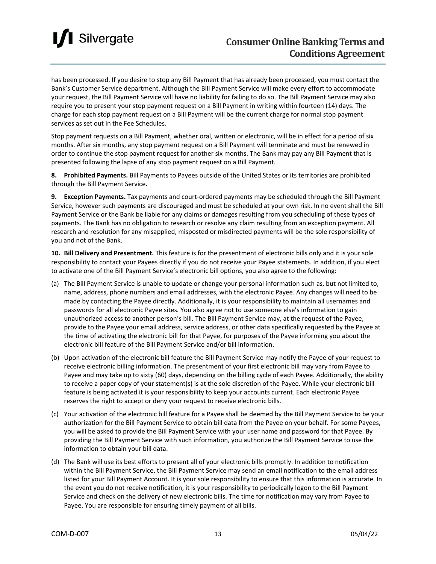

has been processed. If you desire to stop any Bill Payment that has already been processed, you must contact the Bank's Customer Service department. Although the Bill Payment Service will make every effort to accommodate your request, the Bill Payment Service will have no liability for failing to do so. The Bill Payment Service may also require you to present your stop payment request on a Bill Payment in writing within fourteen (14) days. The charge for each stop payment request on a Bill Payment will be the current charge for normal stop payment services as set out in the Fee Schedules.

Stop payment requests on a Bill Payment, whether oral, written or electronic, will be in effect for a period of six months. After six months, any stop payment request on a Bill Payment will terminate and must be renewed in order to continue the stop payment request for another six months. The Bank may pay any Bill Payment that is presented following the lapse of any stop payment request on a Bill Payment.

**8. Prohibited Payments.** Bill Payments to Payees outside of the United States or its territories are prohibited through the Bill Payment Service.

**9. Exception Payments.** Tax payments and court-ordered payments may be scheduled through the Bill Payment Service, however such payments are discouraged and must be scheduled at your own risk. In no event shall the Bill Payment Service or the Bank be liable for any claims or damages resulting from you scheduling of these types of payments. The Bank has no obligation to research or resolve any claim resulting from an exception payment. All research and resolution for any misapplied, misposted or misdirected payments will be the sole responsibility of you and not of the Bank.

**10. Bill Delivery and Presentment.** This feature is for the presentment of electronic bills only and it is your sole responsibility to contact your Payees directly if you do not receive your Payee statements. In addition, if you elect to activate one of the Bill Payment Service's electronic bill options, you also agree to the following:

- (a) The Bill Payment Service is unable to update or change your personal information such as, but not limited to, name, address, phone numbers and email addresses, with the electronic Payee. Any changes will need to be made by contacting the Payee directly. Additionally, it is your responsibility to maintain all usernames and passwords for all electronic Payee sites. You also agree not to use someone else's information to gain unauthorized access to another person's bill. The Bill Payment Service may, at the request of the Payee, provide to the Payee your email address, service address, or other data specifically requested by the Payee at the time of activating the electronic bill for that Payee, for purposes of the Payee informing you about the electronic bill feature of the Bill Payment Service and/or bill information.
- (b) Upon activation of the electronic bill feature the Bill Payment Service may notify the Payee of your request to receive electronic billing information. The presentment of your first electronic bill may vary from Payee to Payee and may take up to sixty (60) days, depending on the billing cycle of each Payee. Additionally, the ability to receive a paper copy of your statement(s) is at the sole discretion of the Payee. While your electronic bill feature is being activated it is your responsibility to keep your accounts current. Each electronic Payee reserves the right to accept or deny your request to receive electronic bills.
- (c) Your activation of the electronic bill feature for a Payee shall be deemed by the Bill Payment Service to be your authorization for the Bill Payment Service to obtain bill data from the Payee on your behalf. For some Payees, you will be asked to provide the Bill Payment Service with your user name and password for that Payee. By providing the Bill Payment Service with such information, you authorize the Bill Payment Service to use the information to obtain your bill data.
- (d) The Bank will use its best efforts to present all of your electronic bills promptly. In addition to notification within the Bill Payment Service, the Bill Payment Service may send an email notification to the email address listed for your Bill Payment Account. It is your sole responsibility to ensure that this information is accurate. In the event you do not receive notification, it is your responsibility to periodically logon to the Bill Payment Service and check on the delivery of new electronic bills. The time for notification may vary from Payee to Payee. You are responsible for ensuring timely payment of all bills.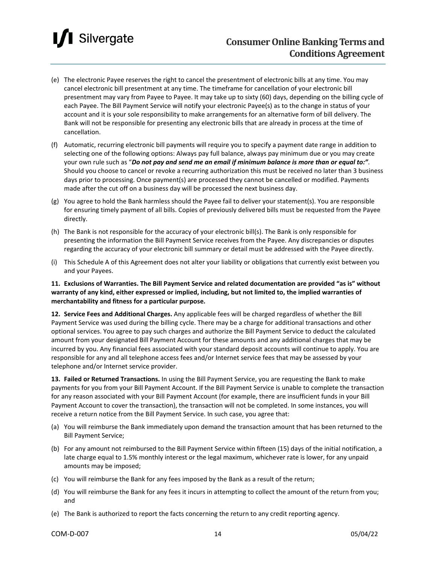### **I** Silvergate

- (e) The electronic Payee reserves the right to cancel the presentment of electronic bills at any time. You may cancel electronic bill presentment at any time. The timeframe for cancellation of your electronic bill presentment may vary from Payee to Payee. It may take up to sixty (60) days, depending on the billing cycle of each Payee. The Bill Payment Service will notify your electronic Payee(s) as to the change in status of your account and it is your sole responsibility to make arrangements for an alternative form of bill delivery. The Bank will not be responsible for presenting any electronic bills that are already in process at the time of cancellation.
- (f) Automatic, recurring electronic bill payments will require you to specify a payment date range in addition to selecting one of the following options: Always pay full balance, always pay minimum due or you may create your own rule such as "*Do not pay and send me an email if minimum balance is more than or equal to:"*. Should you choose to cancel or revoke a recurring authorization this must be received no later than 3 business days prior to processing. Once payment(s) are processed they cannot be cancelled or modified. Payments made after the cut off on a business day will be processed the next business day.
- (g) You agree to hold the Bank harmless should the Payee fail to deliver your statement(s). You are responsible for ensuring timely payment of all bills. Copies of previously delivered bills must be requested from the Payee directly.
- (h) The Bank is not responsible for the accuracy of your electronic bill(s). The Bank is only responsible for presenting the information the Bill Payment Service receives from the Payee. Any discrepancies or disputes regarding the accuracy of your electronic bill summary or detail must be addressed with the Payee directly.
- (i) This Schedule A of this Agreement does not alter your liability or obligations that currently exist between you and your Payees.

**11. Exclusions of Warranties. The Bill Payment Service and related documentation are provided "as is" without warranty of any kind, either expressed or implied, including, but not limited to, the implied warranties of merchantability and fitness for a particular purpose.**

**12. Service Fees and Additional Charges.** Any applicable fees will be charged regardless of whether the Bill Payment Service was used during the billing cycle. There may be a charge for additional transactions and other optional services. You agree to pay such charges and authorize the Bill Payment Service to deduct the calculated amount from your designated Bill Payment Account for these amounts and any additional charges that may be incurred by you. Any financial fees associated with your standard deposit accounts will continue to apply. You are responsible for any and all telephone access fees and/or Internet service fees that may be assessed by your telephone and/or Internet service provider.

**13. Failed or Returned Transactions.** In using the Bill Payment Service, you are requesting the Bank to make payments for you from your Bill Payment Account. If the Bill Payment Service is unable to complete the transaction for any reason associated with your Bill Payment Account (for example, there are insufficient funds in your Bill Payment Account to cover the transaction), the transaction will not be completed. In some instances, you will receive a return notice from the Bill Payment Service. In such case, you agree that:

- (a) You will reimburse the Bank immediately upon demand the transaction amount that has been returned to the Bill Payment Service;
- (b) For any amount not reimbursed to the Bill Payment Service within fifteen (15) days of the initial notification, a late charge equal to 1.5% monthly interest or the legal maximum, whichever rate is lower, for any unpaid amounts may be imposed;
- (c) You will reimburse the Bank for any fees imposed by the Bank as a result of the return;
- (d) You will reimburse the Bank for any fees it incurs in attempting to collect the amount of the return from you; and
- (e) The Bank is authorized to report the facts concerning the return to any credit reporting agency.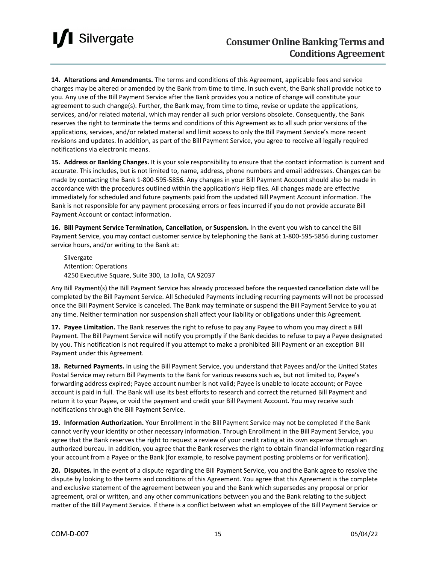**14. Alterations and Amendments.** The terms and conditions of this Agreement, applicable fees and service charges may be altered or amended by the Bank from time to time. In such event, the Bank shall provide notice to you. Any use of the Bill Payment Service after the Bank provides you a notice of change will constitute your agreement to such change(s). Further, the Bank may, from time to time, revise or update the applications, services, and/or related material, which may render all such prior versions obsolete. Consequently, the Bank reserves the right to terminate the terms and conditions of this Agreement as to all such prior versions of the applications, services, and/or related material and limit access to only the Bill Payment Service's more recent revisions and updates. In addition, as part of the Bill Payment Service, you agree to receive all legally required notifications via electronic means.

**15. Address or Banking Changes.** It is your sole responsibility to ensure that the contact information is current and accurate. This includes, but is not limited to, name, address, phone numbers and email addresses. Changes can be made by contacting the Bank 1-800-595-5856. Any changes in your Bill Payment Account should also be made in accordance with the procedures outlined within the application's Help files. All changes made are effective immediately for scheduled and future payments paid from the updated Bill Payment Account information. The Bank is not responsible for any payment processing errors or fees incurred if you do not provide accurate Bill Payment Account or contact information.

**16. Bill Payment Service Termination, Cancellation, or Suspension.** In the event you wish to cancel the Bill Payment Service, you may contact customer service by telephoning the Bank at 1-800-595-5856 during customer service hours, and/or writing to the Bank at:

Silvergate Attention: Operations 4250 Executive Square, Suite 300, La Jolla, CA 92037

Any Bill Payment(s) the Bill Payment Service has already processed before the requested cancellation date will be completed by the Bill Payment Service. All Scheduled Payments including recurring payments will not be processed once the Bill Payment Service is canceled. The Bank may terminate or suspend the Bill Payment Service to you at any time. Neither termination nor suspension shall affect your liability or obligations under this Agreement.

**17. Payee Limitation.** The Bank reserves the right to refuse to pay any Payee to whom you may direct a Bill Payment. The Bill Payment Service will notify you promptly if the Bank decides to refuse to pay a Payee designated by you. This notification is not required if you attempt to make a prohibited Bill Payment or an exception Bill Payment under this Agreement.

**18. Returned Payments.** In using the Bill Payment Service, you understand that Payees and/or the United States Postal Service may return Bill Payments to the Bank for various reasons such as, but not limited to, Payee's forwarding address expired; Payee account number is not valid; Payee is unable to locate account; or Payee account is paid in full. The Bank will use its best efforts to research and correct the returned Bill Payment and return it to your Payee, or void the payment and credit your Bill Payment Account. You may receive such notifications through the Bill Payment Service.

**19. Information Authorization.** Your Enrollment in the Bill Payment Service may not be completed if the Bank cannot verify your identity or other necessary information. Through Enrollment in the Bill Payment Service, you agree that the Bank reserves the right to request a review of your credit rating at its own expense through an authorized bureau. In addition, you agree that the Bank reserves the right to obtain financial information regarding your account from a Payee or the Bank (for example, to resolve payment posting problems or for verification).

**20. Disputes.** In the event of a dispute regarding the Bill Payment Service, you and the Bank agree to resolve the dispute by looking to the terms and conditions of this Agreement. You agree that this Agreement is the complete and exclusive statement of the agreement between you and the Bank which supersedes any proposal or prior agreement, oral or written, and any other communications between you and the Bank relating to the subject matter of the Bill Payment Service. If there is a conflict between what an employee of the Bill Payment Service or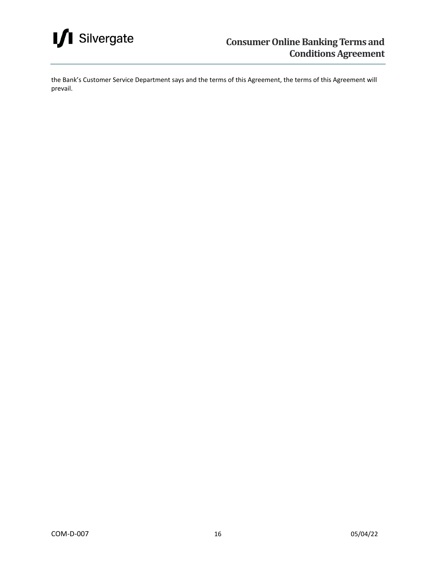

the Bank's Customer Service Department says and the terms of this Agreement, the terms of this Agreement will prevail.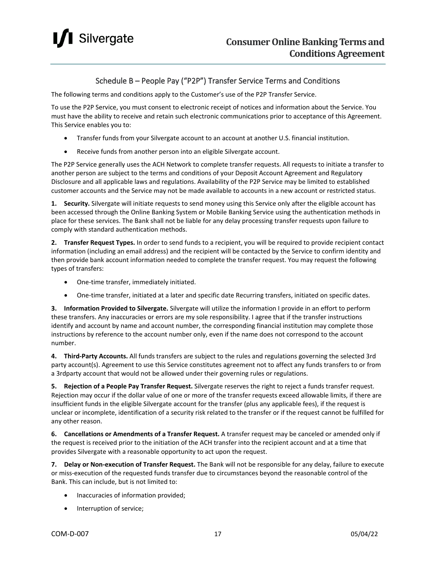

#### Schedule B – People Pay ("P2P") Transfer Service Terms and Conditions

The following terms and conditions apply to the Customer's use of the P2P Transfer Service.

To use the P2P Service, you must consent to electronic receipt of notices and information about the Service. You must have the ability to receive and retain such electronic communications prior to acceptance of this Agreement. This Service enables you to:

- Transfer funds from your Silvergate account to an account at another U.S. financial institution.
- Receive funds from another person into an eligible Silvergate account.

The P2P Service generally uses the ACH Network to complete transfer requests. All requests to initiate a transfer to another person are subject to the terms and conditions of your Deposit Account Agreement and Regulatory Disclosure and all applicable laws and regulations. Availability of the P2P Service may be limited to established customer accounts and the Service may not be made available to accounts in a new account or restricted status.

**1. Security.** Silvergate will initiate requests to send money using this Service only after the eligible account has been accessed through the Online Banking System or Mobile Banking Service using the authentication methods in place for these services. The Bank shall not be liable for any delay processing transfer requests upon failure to comply with standard authentication methods.

**2. Transfer Request Types.** In order to send funds to a recipient, you will be required to provide recipient contact information (including an email address) and the recipient will be contacted by the Service to confirm identity and then provide bank account information needed to complete the transfer request. You may request the following types of transfers:

- One-time transfer, immediately initiated.
- One-time transfer, initiated at a later and specific date Recurring transfers, initiated on specific dates.

**3. Information Provided to Silvergate.** Silvergate will utilize the information I provide in an effort to perform these transfers. Any inaccuracies or errors are my sole responsibility. I agree that if the transfer instructions identify and account by name and account number, the corresponding financial institution may complete those instructions by reference to the account number only, even if the name does not correspond to the account number.

**4. Third-Party Accounts.** All funds transfers are subject to the rules and regulations governing the selected 3rd party account(s). Agreement to use this Service constitutes agreement not to affect any funds transfers to or from a 3rdparty account that would not be allowed under their governing rules or regulations.

**5. Rejection of a People Pay Transfer Request.** Silvergate reserves the right to reject a funds transfer request. Rejection may occur if the dollar value of one or more of the transfer requests exceed allowable limits, if there are insufficient funds in the eligible Silvergate account for the transfer (plus any applicable fees), if the request is unclear or incomplete, identification of a security risk related to the transfer or if the request cannot be fulfilled for any other reason.

**6. Cancellations or Amendments of a Transfer Request.** A transfer request may be canceled or amended only if the request is received prior to the initiation of the ACH transfer into the recipient account and at a time that provides Silvergate with a reasonable opportunity to act upon the request.

**7. Delay or Non-execution of Transfer Request.** The Bank will not be responsible for any delay, failure to execute or miss-execution of the requested funds transfer due to circumstances beyond the reasonable control of the Bank. This can include, but is not limited to:

- Inaccuracies of information provided;
- Interruption of service;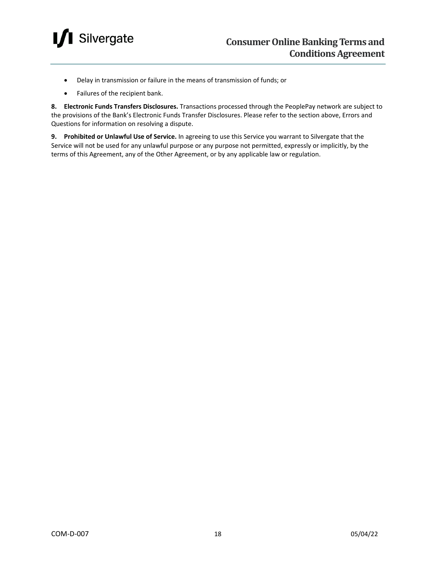

- Delay in transmission or failure in the means of transmission of funds; or
- Failures of the recipient bank.

**8. Electronic Funds Transfers Disclosures.** Transactions processed through the PeoplePay network are subject to the provisions of the Bank's Electronic Funds Transfer Disclosures. Please refer to the section above, Errors and Questions for information on resolving a dispute.

**9. Prohibited or Unlawful Use of Service.** In agreeing to use this Service you warrant to Silvergate that the Service will not be used for any unlawful purpose or any purpose not permitted, expressly or implicitly, by the terms of this Agreement, any of the Other Agreement, or by any applicable law or regulation.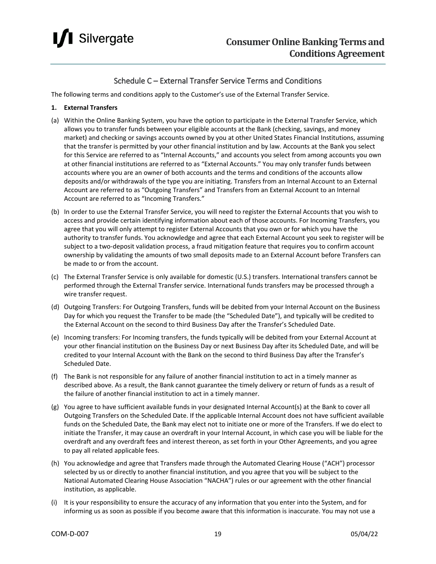

#### Schedule C – External Transfer Service Terms and Conditions

The following terms and conditions apply to the Customer's use of the External Transfer Service.

#### **1. External Transfers**

- (a) Within the Online Banking System, you have the option to participate in the External Transfer Service, which allows you to transfer funds between your eligible accounts at the Bank (checking, savings, and money market) and checking or savings accounts owned by you at other United States Financial Institutions, assuming that the transfer is permitted by your other financial institution and by law. Accounts at the Bank you select for this Service are referred to as "Internal Accounts," and accounts you select from among accounts you own at other financial institutions are referred to as "External Accounts." You may only transfer funds between accounts where you are an owner of both accounts and the terms and conditions of the accounts allow deposits and/or withdrawals of the type you are initiating. Transfers from an Internal Account to an External Account are referred to as "Outgoing Transfers" and Transfers from an External Account to an Internal Account are referred to as "Incoming Transfers."
- (b) In order to use the External Transfer Service, you will need to register the External Accounts that you wish to access and provide certain identifying information about each of those accounts. For Incoming Transfers, you agree that you will only attempt to register External Accounts that you own or for which you have the authority to transfer funds. You acknowledge and agree that each External Account you seek to register will be subject to a two-deposit validation process, a fraud mitigation feature that requires you to confirm account ownership by validating the amounts of two small deposits made to an External Account before Transfers can be made to or from the account.
- (c) The External Transfer Service is only available for domestic (U.S.) transfers. International transfers cannot be performed through the External Transfer service. International funds transfers may be processed through a wire transfer request.
- (d) Outgoing Transfers: For Outgoing Transfers, funds will be debited from your Internal Account on the Business Day for which you request the Transfer to be made (the "Scheduled Date"), and typically will be credited to the External Account on the second to third Business Day after the Transfer's Scheduled Date.
- (e) Incoming transfers: For Incoming transfers, the funds typically will be debited from your External Account at your other financial institution on the Business Day or next Business Day after its Scheduled Date, and will be credited to your Internal Account with the Bank on the second to third Business Day after the Transfer's Scheduled Date.
- (f) The Bank is not responsible for any failure of another financial institution to act in a timely manner as described above. As a result, the Bank cannot guarantee the timely delivery or return of funds as a result of the failure of another financial institution to act in a timely manner.
- (g) You agree to have sufficient available funds in your designated Internal Account(s) at the Bank to cover all Outgoing Transfers on the Scheduled Date. If the applicable Internal Account does not have sufficient available funds on the Scheduled Date, the Bank may elect not to initiate one or more of the Transfers. If we do elect to initiate the Transfer, it may cause an overdraft in your Internal Account, in which case you will be liable for the overdraft and any overdraft fees and interest thereon, as set forth in your Other Agreements, and you agree to pay all related applicable fees.
- (h) You acknowledge and agree that Transfers made through the Automated Clearing House ("ACH") processor selected by us or directly to another financial institution, and you agree that you will be subject to the National Automated Clearing House Association "NACHA") rules or our agreement with the other financial institution, as applicable.
- (i) It is your responsibility to ensure the accuracy of any information that you enter into the System, and for informing us as soon as possible if you become aware that this information is inaccurate. You may not use a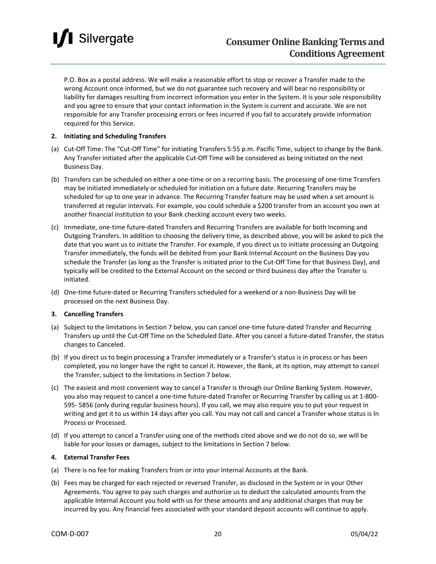### Silvergate

P.O. Box as a postal address. We will make a reasonable effort to stop or recover a Transfer made to the wrong Account once informed, but we do not guarantee such recovery and will bear no responsibility or liability for damages resulting from incorrect information you enter in the System. It is your sole responsibility and you agree to ensure that your contact information in the System is current and accurate. We are not responsible for any Transfer processing errors or fees incurred if you fail to accurately provide information required for this Service.

#### **2. Initiating and Scheduling Transfers**

- (a) Cut-Off Time: The "Cut-Off Time" for initiating Transfers 5:55 p.m. Pacific Time, subject to change by the Bank. Any Transfer initiated after the applicable Cut-Off Time will be considered as being initiated on the next Business Day.
- (b) Transfers can be scheduled on either a one-time or on a recurring basis. The processing of one-time Transfers may be initiated immediately or scheduled for initiation on a future date. Recurring Transfers may be scheduled for up to one year in advance. The Recurring Transfer feature may be used when a set amount is transferred at regular intervals. For example, you could schedule a \$200 transfer from an account you own at another financial institution to your Bank checking account every two weeks.
- (c) Immediate, one-time future-dated Transfers and Recurring Transfers are available for both Incoming and Outgoing Transfers. In addition to choosing the delivery time, as described above, you will be asked to pick the date that you want us to initiate the Transfer. For example, if you direct us to initiate processing an Outgoing Transfer immediately, the funds will be debited from your Bank Internal Account on the Business Day you schedule the Transfer (as long as the Transfer is initiated prior to the Cut-Off Time for that Business Day), and typically will be credited to the External Account on the second or third business day after the Transfer is initiated.
- (d) One-time future-dated or Recurring Transfers scheduled for a weekend or a non-Business Day will be processed on the next Business Day.

#### **3. Cancelling Transfers**

- (a) Subject to the limitations in Section 7 below, you can cancel one-time future-dated Transfer and Recurring Transfers up until the Cut-Off Time on the Scheduled Date. After you cancel a future-dated Transfer, the status changes to Canceled.
- (b) If you direct us to begin processing a Transfer immediately or a Transfer's status is in process or has been completed, you no longer have the right to cancel it. However, the Bank, at its option, may attempt to cancel the Transfer, subject to the limitations in Section 7 below.
- (c) The easiest and most convenient way to cancel a Transfer is through our Online Banking System. However, you also may request to cancel a one-time future-dated Transfer or Recurring Transfer by calling us at 1-800- 595- 5856 (only during regular business hours). If you call, we may also require you to put your request in writing and get it to us within 14 days after you call. You may not call and cancel a Transfer whose status is In Process or Processed.
- (d) If you attempt to cancel a Transfer using one of the methods cited above and we do not do so, we will be liable for your losses or damages, subject to the limitations in Section 7 below.

#### **4. External Transfer Fees**

- (a) There is no fee for making Transfers from or into your Internal Accounts at the Bank.
- (b) Fees may be charged for each rejected or reversed Transfer, as disclosed in the System or in your Other Agreements. You agree to pay such charges and authorize us to deduct the calculated amounts from the applicable Internal Account you hold with us for these amounts and any additional charges that may be incurred by you. Any financial fees associated with your standard deposit accounts will continue to apply.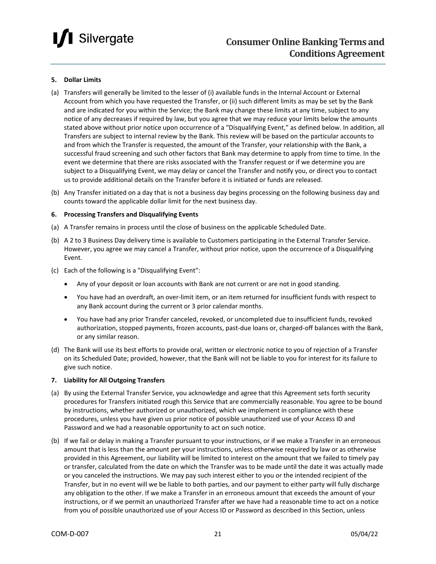

#### **5. Dollar Limits**

- (a) Transfers will generally be limited to the lesser of (i) available funds in the Internal Account or External Account from which you have requested the Transfer, or (ii) such different limits as may be set by the Bank and are indicated for you within the Service; the Bank may change these limits at any time, subject to any notice of any decreases if required by law, but you agree that we may reduce your limits below the amounts stated above without prior notice upon occurrence of a "Disqualifying Event," as defined below. In addition, all Transfers are subject to internal review by the Bank. This review will be based on the particular accounts to and from which the Transfer is requested, the amount of the Transfer, your relationship with the Bank, a successful fraud screening and such other factors that Bank may determine to apply from time to time. In the event we determine that there are risks associated with the Transfer request or if we determine you are subject to a Disqualifying Event, we may delay or cancel the Transfer and notify you, or direct you to contact us to provide additional details on the Transfer before it is initiated or funds are released.
- (b) Any Transfer initiated on a day that is not a business day begins processing on the following business day and counts toward the applicable dollar limit for the next business day.

#### **6. Processing Transfers and Disqualifying Events**

- (a) A Transfer remains in process until the close of business on the applicable Scheduled Date.
- (b) A 2 to 3 Business Day delivery time is available to Customers participating in the External Transfer Service. However, you agree we may cancel a Transfer, without prior notice, upon the occurrence of a Disqualifying Event.
- (c) Each of the following is a "Disqualifying Event":
	- Any of your deposit or loan accounts with Bank are not current or are not in good standing.
	- You have had an overdraft, an over-limit item, or an item returned for insufficient funds with respect to any Bank account during the current or 3 prior calendar months.
	- You have had any prior Transfer canceled, revoked, or uncompleted due to insufficient funds, revoked authorization, stopped payments, frozen accounts, past-due loans or, charged-off balances with the Bank, or any similar reason.
- (d) The Bank will use its best efforts to provide oral, written or electronic notice to you of rejection of a Transfer on its Scheduled Date; provided, however, that the Bank will not be liable to you for interest for its failure to give such notice.

#### **7. Liability for All Outgoing Transfers**

- (a) By using the External Transfer Service, you acknowledge and agree that this Agreement sets forth security procedures for Transfers initiated rough this Service that are commercially reasonable. You agree to be bound by instructions, whether authorized or unauthorized, which we implement in compliance with these procedures, unless you have given us prior notice of possible unauthorized use of your Access ID and Password and we had a reasonable opportunity to act on such notice.
- (b) If we fail or delay in making a Transfer pursuant to your instructions, or if we make a Transfer in an erroneous amount that is less than the amount per your instructions, unless otherwise required by law or as otherwise provided in this Agreement, our liability will be limited to interest on the amount that we failed to timely pay or transfer, calculated from the date on which the Transfer was to be made until the date it was actually made or you canceled the instructions. We may pay such interest either to you or the intended recipient of the Transfer, but in no event will we be liable to both parties, and our payment to either party will fully discharge any obligation to the other. If we make a Transfer in an erroneous amount that exceeds the amount of your instructions, or if we permit an unauthorized Transfer after we have had a reasonable time to act on a notice from you of possible unauthorized use of your Access ID or Password as described in this Section, unless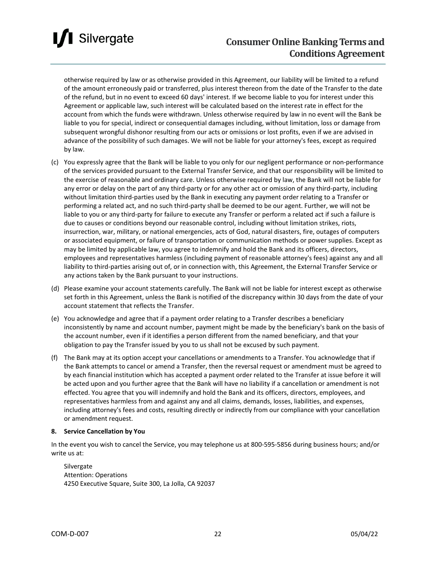

### **Consumer Online Banking Terms and Conditions Agreement**

otherwise required by law or as otherwise provided in this Agreement, our liability will be limited to a refund of the amount erroneously paid or transferred, plus interest thereon from the date of the Transfer to the date of the refund, but in no event to exceed 60 days' interest. If we become liable to you for interest under this Agreement or applicable law, such interest will be calculated based on the interest rate in effect for the account from which the funds were withdrawn. Unless otherwise required by law in no event will the Bank be liable to you for special, indirect or consequential damages including, without limitation, loss or damage from subsequent wrongful dishonor resulting from our acts or omissions or lost profits, even if we are advised in advance of the possibility of such damages. We will not be liable for your attorney's fees, except as required by law.

- (c) You expressly agree that the Bank will be liable to you only for our negligent performance or non-performance of the services provided pursuant to the External Transfer Service, and that our responsibility will be limited to the exercise of reasonable and ordinary care. Unless otherwise required by law, the Bank will not be liable for any error or delay on the part of any third-party or for any other act or omission of any third-party, including without limitation third-parties used by the Bank in executing any payment order relating to a Transfer or performing a related act, and no such third-party shall be deemed to be our agent. Further, we will not be liable to you or any third-party for failure to execute any Transfer or perform a related act if such a failure is due to causes or conditions beyond our reasonable control, including without limitation strikes, riots, insurrection, war, military, or national emergencies, acts of God, natural disasters, fire, outages of computers or associated equipment, or failure of transportation or communication methods or power supplies. Except as may be limited by applicable law, you agree to indemnify and hold the Bank and its officers, directors, employees and representatives harmless (including payment of reasonable attorney's fees) against any and all liability to third-parties arising out of, or in connection with, this Agreement, the External Transfer Service or any actions taken by the Bank pursuant to your instructions.
- (d) Please examine your account statements carefully. The Bank will not be liable for interest except as otherwise set forth in this Agreement, unless the Bank is notified of the discrepancy within 30 days from the date of your account statement that reflects the Transfer.
- (e) You acknowledge and agree that if a payment order relating to a Transfer describes a beneficiary inconsistently by name and account number, payment might be made by the beneficiary's bank on the basis of the account number, even if it identifies a person different from the named beneficiary, and that your obligation to pay the Transfer issued by you to us shall not be excused by such payment.
- (f) The Bank may at its option accept your cancellations or amendments to a Transfer. You acknowledge that if the Bank attempts to cancel or amend a Transfer, then the reversal request or amendment must be agreed to by each financial institution which has accepted a payment order related to the Transfer at issue before it will be acted upon and you further agree that the Bank will have no liability if a cancellation or amendment is not effected. You agree that you will indemnify and hold the Bank and its officers, directors, employees, and representatives harmless from and against any and all claims, demands, losses, liabilities, and expenses, including attorney's fees and costs, resulting directly or indirectly from our compliance with your cancellation or amendment request.

#### **8. Service Cancellation by You**

In the event you wish to cancel the Service, you may telephone us at 800-595-5856 during business hours; and/or write us at:

Silvergate Attention: Operations 4250 Executive Square, Suite 300, La Jolla, CA 92037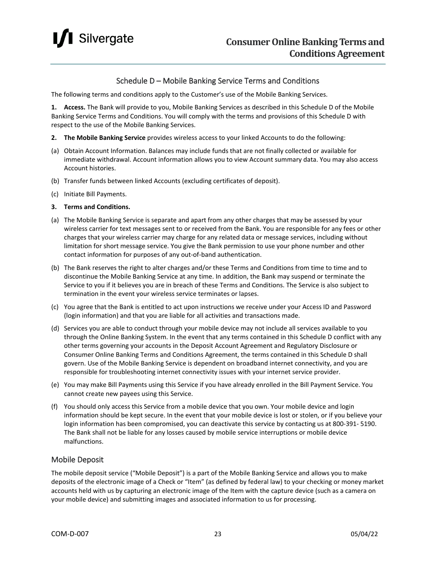

#### Schedule D – Mobile Banking Service Terms and Conditions

The following terms and conditions apply to the Customer's use of the Mobile Banking Services.

**1. Access.** The Bank will provide to you, Mobile Banking Services as described in this Schedule D of the Mobile Banking Service Terms and Conditions. You will comply with the terms and provisions of this Schedule D with respect to the use of the Mobile Banking Services.

- **2. The Mobile Banking Service** provides wireless access to your linked Accounts to do the following:
- (a) Obtain Account Information. Balances may include funds that are not finally collected or available for immediate withdrawal. Account information allows you to view Account summary data. You may also access Account histories.
- (b) Transfer funds between linked Accounts (excluding certificates of deposit).
- (c) Initiate Bill Payments.

#### **3. Terms and Conditions.**

- (a) The Mobile Banking Service is separate and apart from any other charges that may be assessed by your wireless carrier for text messages sent to or received from the Bank. You are responsible for any fees or other charges that your wireless carrier may charge for any related data or message services, including without limitation for short message service. You give the Bank permission to use your phone number and other contact information for purposes of any out-of-band authentication.
- (b) The Bank reserves the right to alter charges and/or these Terms and Conditions from time to time and to discontinue the Mobile Banking Service at any time. In addition, the Bank may suspend or terminate the Service to you if it believes you are in breach of these Terms and Conditions. The Service is also subject to termination in the event your wireless service terminates or lapses.
- (c) You agree that the Bank is entitled to act upon instructions we receive under your Access ID and Password (login information) and that you are liable for all activities and transactions made.
- (d) Services you are able to conduct through your mobile device may not include all services available to you through the Online Banking System. In the event that any terms contained in this Schedule D conflict with any other terms governing your accounts in the Deposit Account Agreement and Regulatory Disclosure or Consumer Online Banking Terms and Conditions Agreement, the terms contained in this Schedule D shall govern. Use of the Mobile Banking Service is dependent on broadband internet connectivity, and you are responsible for troubleshooting internet connectivity issues with your internet service provider.
- (e) You may make Bill Payments using this Service if you have already enrolled in the Bill Payment Service. You cannot create new payees using this Service.
- (f) You should only access this Service from a mobile device that you own. Your mobile device and login information should be kept secure. In the event that your mobile device is lost or stolen, or if you believe your login information has been compromised, you can deactivate this service by contacting us at 800-391- 5190. The Bank shall not be liable for any losses caused by mobile service interruptions or mobile device malfunctions.

#### Mobile Deposit

The mobile deposit service ("Mobile Deposit") is a part of the Mobile Banking Service and allows you to make deposits of the electronic image of a Check or "Item" (as defined by federal law) to your checking or money market accounts held with us by capturing an electronic image of the Item with the capture device (such as a camera on your mobile device) and submitting images and associated information to us for processing.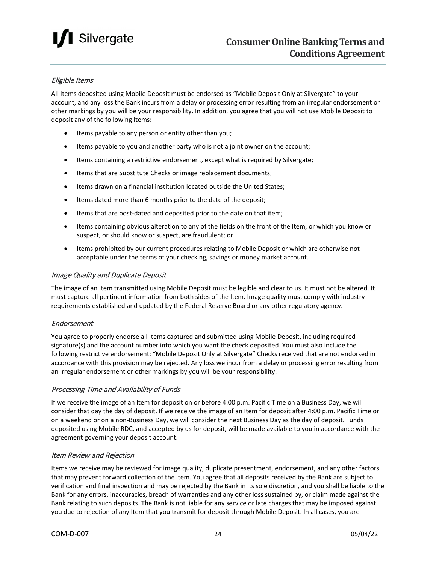### **I** Silvergate

#### Eligible Items

All Items deposited using Mobile Deposit must be endorsed as "Mobile Deposit Only at Silvergate" to your account, and any loss the Bank incurs from a delay or processing error resulting from an irregular endorsement or other markings by you will be your responsibility. In addition, you agree that you will not use Mobile Deposit to deposit any of the following Items:

- Items payable to any person or entity other than you;
- Items payable to you and another party who is not a joint owner on the account;
- Items containing a restrictive endorsement, except what is required by Silvergate;
- Items that are Substitute Checks or image replacement documents;
- Items drawn on a financial institution located outside the United States;
- Items dated more than 6 months prior to the date of the deposit;
- Items that are post-dated and deposited prior to the date on that item;
- Items containing obvious alteration to any of the fields on the front of the Item, or which you know or suspect, or should know or suspect, are fraudulent; or
- Items prohibited by our current procedures relating to Mobile Deposit or which are otherwise not acceptable under the terms of your checking, savings or money market account.

#### Image Quality and Duplicate Deposit

The image of an Item transmitted using Mobile Deposit must be legible and clear to us. It must not be altered. It must capture all pertinent information from both sides of the Item. Image quality must comply with industry requirements established and updated by the Federal Reserve Board or any other regulatory agency.

#### Endorsement

You agree to properly endorse all Items captured and submitted using Mobile Deposit, including required signature(s) and the account number into which you want the check deposited. You must also include the following restrictive endorsement: "Mobile Deposit Only at Silvergate" Checks received that are not endorsed in accordance with this provision may be rejected. Any loss we incur from a delay or processing error resulting from an irregular endorsement or other markings by you will be your responsibility.

#### Processing Time and Availability of Funds

If we receive the image of an Item for deposit on or before 4:00 p.m. Pacific Time on a Business Day, we will consider that day the day of deposit. If we receive the image of an Item for deposit after 4:00 p.m. Pacific Time or on a weekend or on a non-Business Day, we will consider the next Business Day as the day of deposit. Funds deposited using Mobile RDC, and accepted by us for deposit, will be made available to you in accordance with the agreement governing your deposit account.

#### Item Review and Rejection

Items we receive may be reviewed for image quality, duplicate presentment, endorsement, and any other factors that may prevent forward collection of the Item. You agree that all deposits received by the Bank are subject to verification and final inspection and may be rejected by the Bank in its sole discretion, and you shall be liable to the Bank for any errors, inaccuracies, breach of warranties and any other loss sustained by, or claim made against the Bank relating to such deposits. The Bank is not liable for any service or late charges that may be imposed against you due to rejection of any Item that you transmit for deposit through Mobile Deposit. In all cases, you are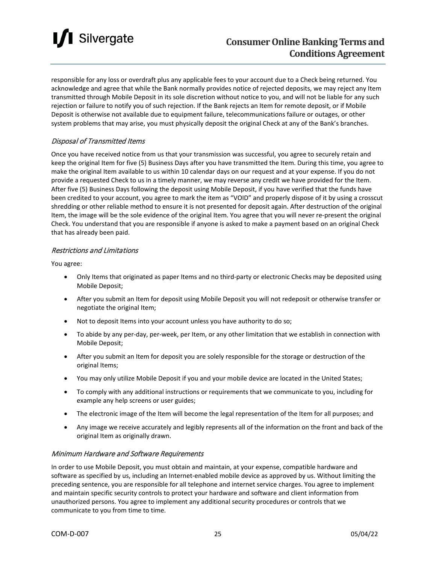

responsible for any loss or overdraft plus any applicable fees to your account due to a Check being returned. You acknowledge and agree that while the Bank normally provides notice of rejected deposits, we may reject any Item transmitted through Mobile Deposit in its sole discretion without notice to you, and will not be liable for any such rejection or failure to notify you of such rejection. If the Bank rejects an Item for remote deposit, or if Mobile Deposit is otherwise not available due to equipment failure, telecommunications failure or outages, or other system problems that may arise, you must physically deposit the original Check at any of the Bank's branches.

#### Disposal of Transmitted Items

Once you have received notice from us that your transmission was successful, you agree to securely retain and keep the original Item for five (5) Business Days after you have transmitted the Item. During this time, you agree to make the original Item available to us within 10 calendar days on our request and at your expense. If you do not provide a requested Check to us in a timely manner, we may reverse any credit we have provided for the Item. After five (5) Business Days following the deposit using Mobile Deposit, if you have verified that the funds have been credited to your account, you agree to mark the item as "VOID" and properly dispose of it by using a crosscut shredding or other reliable method to ensure it is not presented for deposit again. After destruction of the original Item, the image will be the sole evidence of the original Item. You agree that you will never re-present the original Check. You understand that you are responsible if anyone is asked to make a payment based on an original Check that has already been paid.

#### Restrictions and Limitations

You agree:

- Only Items that originated as paper Items and no third-party or electronic Checks may be deposited using Mobile Deposit;
- After you submit an Item for deposit using Mobile Deposit you will not redeposit or otherwise transfer or negotiate the original Item;
- Not to deposit Items into your account unless you have authority to do so;
- To abide by any per-day, per-week, per Item, or any other limitation that we establish in connection with Mobile Deposit;
- After you submit an Item for deposit you are solely responsible for the storage or destruction of the original Items;
- You may only utilize Mobile Deposit if you and your mobile device are located in the United States;
- To comply with any additional instructions or requirements that we communicate to you, including for example any help screens or user guides;
- The electronic image of the Item will become the legal representation of the Item for all purposes; and
- Any image we receive accurately and legibly represents all of the information on the front and back of the original Item as originally drawn.

#### Minimum Hardware and Software Requirements

In order to use Mobile Deposit, you must obtain and maintain, at your expense, compatible hardware and software as specified by us, including an Internet-enabled mobile device as approved by us. Without limiting the preceding sentence, you are responsible for all telephone and internet service charges. You agree to implement and maintain specific security controls to protect your hardware and software and client information from unauthorized persons. You agree to implement any additional security procedures or controls that we communicate to you from time to time.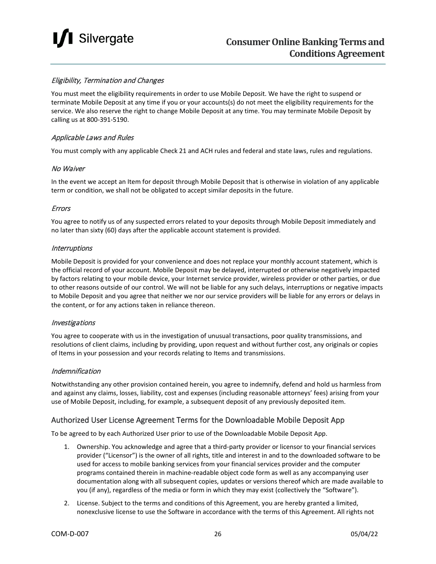

#### Eligibility, Termination and Changes

You must meet the eligibility requirements in order to use Mobile Deposit. We have the right to suspend or terminate Mobile Deposit at any time if you or your accounts(s) do not meet the eligibility requirements for the service. We also reserve the right to change Mobile Deposit at any time. You may terminate Mobile Deposit by calling us at 800-391-5190.

#### Applicable Laws and Rules

You must comply with any applicable Check 21 and ACH rules and federal and state laws, rules and regulations.

#### No Waiver

In the event we accept an Item for deposit through Mobile Deposit that is otherwise in violation of any applicable term or condition, we shall not be obligated to accept similar deposits in the future.

#### Errors

You agree to notify us of any suspected errors related to your deposits through Mobile Deposit immediately and no later than sixty (60) days after the applicable account statement is provided.

#### **Interruptions**

Mobile Deposit is provided for your convenience and does not replace your monthly account statement, which is the official record of your account. Mobile Deposit may be delayed, interrupted or otherwise negatively impacted by factors relating to your mobile device, your Internet service provider, wireless provider or other parties, or due to other reasons outside of our control. We will not be liable for any such delays, interruptions or negative impacts to Mobile Deposit and you agree that neither we nor our service providers will be liable for any errors or delays in the content, or for any actions taken in reliance thereon.

#### Investigations

You agree to cooperate with us in the investigation of unusual transactions, poor quality transmissions, and resolutions of client claims, including by providing, upon request and without further cost, any originals or copies of Items in your possession and your records relating to Items and transmissions.

#### Indemnification

Notwithstanding any other provision contained herein, you agree to indemnify, defend and hold us harmless from and against any claims, losses, liability, cost and expenses (including reasonable attorneys' fees) arising from your use of Mobile Deposit, including, for example, a subsequent deposit of any previously deposited item.

#### Authorized User License Agreement Terms for the Downloadable Mobile Deposit App

To be agreed to by each Authorized User prior to use of the Downloadable Mobile Deposit App.

- 1. Ownership. You acknowledge and agree that a third-party provider or licensor to your financial services provider ("Licensor") is the owner of all rights, title and interest in and to the downloaded software to be used for access to mobile banking services from your financial services provider and the computer programs contained therein in machine-readable object code form as well as any accompanying user documentation along with all subsequent copies, updates or versions thereof which are made available to you (if any), regardless of the media or form in which they may exist (collectively the "Software").
- 2. License. Subject to the terms and conditions of this Agreement, you are hereby granted a limited, nonexclusive license to use the Software in accordance with the terms of this Agreement. All rights not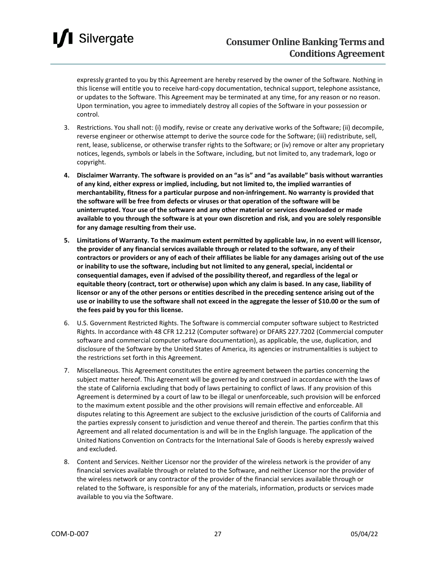### Silvergate

expressly granted to you by this Agreement are hereby reserved by the owner of the Software. Nothing in this license will entitle you to receive hard-copy documentation, technical support, telephone assistance, or updates to the Software. This Agreement may be terminated at any time, for any reason or no reason. Upon termination, you agree to immediately destroy all copies of the Software in your possession or control.

- 3. Restrictions. You shall not: (i) modify, revise or create any derivative works of the Software; (ii) decompile, reverse engineer or otherwise attempt to derive the source code for the Software; (iii) redistribute, sell, rent, lease, sublicense, or otherwise transfer rights to the Software; or (iv) remove or alter any proprietary notices, legends, symbols or labels in the Software, including, but not limited to, any trademark, logo or copyright.
- **4. Disclaimer Warranty. The software is provided on an "as is" and "as available" basis without warranties of any kind, either express or implied, including, but not limited to, the implied warranties of merchantability, fitness for a particular purpose and non-infringement. No warranty is provided that the software will be free from defects or viruses or that operation of the software will be uninterrupted. Your use of the software and any other material or services downloaded or made available to you through the software is at your own discretion and risk, and you are solely responsible for any damage resulting from their use.**
- **5. Limitations of Warranty. To the maximum extent permitted by applicable law, in no event will licensor, the provider of any financial services available through or related to the software, any of their contractors or providers or any of each of their affiliates be liable for any damages arising out of the use or inability to use the software, including but not limited to any general, special, incidental or consequential damages, even if advised of the possibility thereof, and regardless of the legal or equitable theory (contract, tort or otherwise) upon which any claim is based. In any case, liability of licensor or any of the other persons or entities described in the preceding sentence arising out of the use or inability to use the software shall not exceed in the aggregate the lesser of \$10.00 or the sum of the fees paid by you for this license.**
- 6. U.S. Government Restricted Rights. The Software is commercial computer software subject to Restricted Rights. In accordance with 48 CFR 12.212 (Computer software) or DFARS 227.7202 (Commercial computer software and commercial computer software documentation), as applicable, the use, duplication, and disclosure of the Software by the United States of America, its agencies or instrumentalities is subject to the restrictions set forth in this Agreement.
- 7. Miscellaneous. This Agreement constitutes the entire agreement between the parties concerning the subject matter hereof. This Agreement will be governed by and construed in accordance with the laws of the state of California excluding that body of laws pertaining to conflict of laws. If any provision of this Agreement is determined by a court of law to be illegal or unenforceable, such provision will be enforced to the maximum extent possible and the other provisions will remain effective and enforceable. All disputes relating to this Agreement are subject to the exclusive jurisdiction of the courts of California and the parties expressly consent to jurisdiction and venue thereof and therein. The parties confirm that this Agreement and all related documentation is and will be in the English language. The application of the United Nations Convention on Contracts for the International Sale of Goods is hereby expressly waived and excluded.
- 8. Content and Services. Neither Licensor nor the provider of the wireless network is the provider of any financial services available through or related to the Software, and neither Licensor nor the provider of the wireless network or any contractor of the provider of the financial services available through or related to the Software, is responsible for any of the materials, information, products or services made available to you via the Software.